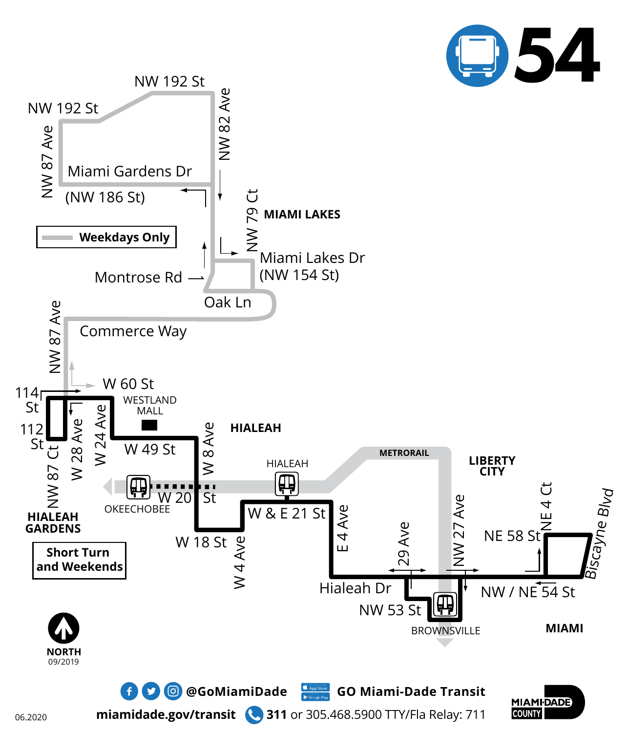

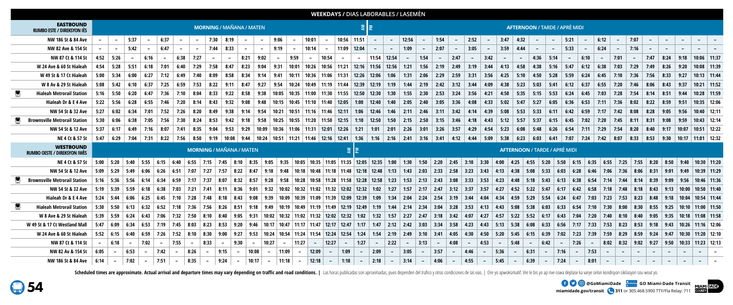

**miamidade.gov/transit 311** or 305.468.5900 TTY/Fla Relay: 711 **EXAMPLE OF A GOOG COMIAMIDAde COMIAMI-Dade Transit** 

| <b>WEEKDAYS / DIAS LABORABLES / LASEMÈN</b> |                                                         |                                 |                                                     |      |      |             |        |                          |                             |       |                          |        |                          |                                                                           |         |                                   |       |                |  |             |                          |                          |                          |              |                          |                          |                                      |                                      |      |        |                                                                                            |                          |              |                          |        |                          |      |      |       |        |                 |
|---------------------------------------------|---------------------------------------------------------|---------------------------------|-----------------------------------------------------|------|------|-------------|--------|--------------------------|-----------------------------|-------|--------------------------|--------|--------------------------|---------------------------------------------------------------------------|---------|-----------------------------------|-------|----------------|--|-------------|--------------------------|--------------------------|--------------------------|--------------|--------------------------|--------------------------|--------------------------------------|--------------------------------------|------|--------|--------------------------------------------------------------------------------------------|--------------------------|--------------|--------------------------|--------|--------------------------|------|------|-------|--------|-----------------|
|                                             | <b>EASTBOUND</b><br><b>RUMBO ESTE / DIREKSYON IÈS</b>   | <b>MORNING / MAÑANA / MATEN</b> |                                                     |      |      |             |        |                          |                             |       |                          |        |                          |                                                                           | 회회      |                                   |       |                |  |             |                          |                          |                          |              |                          |                          | <b>AFTERNOON / TARDE / APRÈ MIDI</b> |                                      |      |        |                                                                                            |                          |              |                          |        |                          |      |      |       |        |                 |
|                                             | NW 186 St & 84 Ave                                      |                                 |                                                     | 5:37 |      | 6:37        |        | $\overline{\phantom{a}}$ | 7:30                        | 8:19  |                          | $\sim$ | 9:06                     |                                                                           | 10:01   |                                   | 10:56 | 11:51          |  | $\sim$      | $\sim$                   | 12:56                    | $\sim$                   | 1:54         | $\overline{\phantom{0}}$ | 2:52                     |                                      | 3:47                                 | 4:32 | $\sim$ | $\sim$                                                                                     | 5:21                     | $\sim$       | 6:12                     |        | 7:07                     |      |      |       | $\sim$ |                 |
|                                             | NW 82 Ave & 154 St                                      |                                 |                                                     | 5:42 |      | 6:47        |        |                          | 7:44                        | 8:33  |                          |        | 9:19                     |                                                                           | 10:14   |                                   | 11:09 | 12:04          |  |             | $\overline{\phantom{a}}$ | 1:09                     |                          | 2:07         |                          | 3:05                     |                                      | 3:59                                 | 4:44 |        |                                                                                            | 5:33                     |              | 6:24                     |        | 7:16                     |      |      |       |        |                 |
|                                             | NW 87 Ct & 114 St                                       | 4:52                            | 5:26                                                |      | 6:16 |             | 6:38   | 7:27                     |                             |       | 8:21                     | 9:02   |                          | 9:59                                                                      |         | 10:54                             |       |                |  | 11:54       | 12:54                    |                          | 1:54                     |              | 2:47                     |                          | 3:42                                 |                                      |      | 4:36   | 5:14                                                                                       | $\overline{\phantom{a}}$ | 6:10         |                          | 7:01   |                          | 7:47 | 8:24 | 9:18  |        | $10:06$ 11:37   |
|                                             | W 24 Ave & 60 St Hialeah                                | 4:54                            | 5:28                                                | 5:51 | 6:18 | 7:01        | 6:40   | 7:29                     | 7:58                        | 8:47  | 8:23                     | 9:04   | 9:31                     | 10:01                                                                     | 10:26   | $10:56$ 11:21                     |       | $12:16$ 11:56  |  |             | 12:56                    | 1:21                     | 1:56                     | 2:19         | 2:49                     | 3:19                     | 3:44                                 | 4:13                                 | 4:58 | 4:38   | 5:16                                                                                       | 5:47                     | 6:12         | 6:38                     | 7:03   | 7:29                     | 7:49 | 8:26 | 9:20  |        | $10:08$   11:39 |
|                                             | W 49 St & 17 Ct Hialeah                                 | 5:00                            | 5:34                                                | 6:00 | 6:27 | 7:12        | 6:49   | 7:40                     | 8:09                        | 8:58  | 8:34                     | 9:14   | 9:41                     | 10:11                                                                     | 10:36   | $11:06$ 11:31                     |       | 12:26          |  | 12:06       | 1:06                     | 1:31                     | 2:06                     | 2:29         | 2:59                     | 3:31                     | 3:56                                 | 4:25                                 | 5:10 | 4:50   | 5:28                                                                                       | 5:59                     | 6:24         | 6:45                     | 7:10   | 7:36                     | 7:56 | 8:33 | 9:27  |        | $10:13$ 11:44   |
|                                             | W 8 Av & 29 St Hialeah                                  | 5:08                            | 5:42                                                | 6:10 | 6:37 | 7:25        | 6:59   | 7:53                     | 8:22                        | 9:11  | 8:47                     | 9:27   | 9:54                     | 10:24                                                                     | 10:49   | $11:19$ 11:44                     |       | 12:39          |  | 12:19       | 1:19                     | 1:44                     | 2:19                     | 2:42         | 3:12                     | 3:44                     | 4:09                                 | 4:38                                 | 5:23 | 5:03   | 5:41                                                                                       | 6:12                     | 6:37         | 6:55                     | 7:20   | 7:46                     | 8:06 | 8:43 | 9:37  |        | $10:21$ 11:52   |
|                                             | <b>Hialeah Metrorail Station</b>                        | 5:16                            | 5:50                                                | 6:20 | 6:47 | 7:36        | 7:10   | 8:04                     | 8:33                        | 9:22  | 8:58                     | 9:38   | 10:05                    | 10:35                                                                     | 11:00   | $11:30$ 11:55                     |       | 12:50          |  | $12:30$     | 1:30                     | 1:55                     | 2:30                     | 2:53         | 3:24                     | 3:56                     | 4:21                                 | 4:50                                 | 5:35 | 5:15   | 5:53                                                                                       | 6:24                     | 6:45         | 7:03                     | 7:28   | 7:54                     | 8:14 | 8:51 | 9:44  |        | $10:28$   11:59 |
|                                             | Hialeah Dr & E 4 Ave                                    | 5:22                            | 5:56                                                | 6:28 | 6:55 | 7:46        | 7:20   | 8:14                     | 8:43                        | 9:32  | 9:08                     | 9:48   | 10:15                    | 10:45                                                                     | 11:10   | 11:40                             | 12:05 | 1:00           |  | 12:40       | 1:40                     | 2:05                     | 2:40                     | 3:05         | 3:36                     | 4:08                     | 4:33                                 | 5:02                                 | 5:47 | 5:27   | 6:05                                                                                       | 6:36                     | 6:53         | 7:11                     | 7:36   | 8:02                     | 8:22 | 8:59 | 9:51  |        | $10:35$ 12:06   |
|                                             | NW 54 St & 32 Ave                                       | 5:27                            | 6:02                                                | 6:34 | 7:01 | 7:52        | 7:26   | 8:20                     | 8:49                        | 9:38  | 9:14                     | 9:54   | 10:21                    | 10:51                                                                     | 11:16   | 11:46                             | 12:11 | 1:06           |  | 12:46       | 1:46                     | 2:11                     | 2:46                     | 3:11         | 3:42                     | 4:14                     | 4:39                                 | 5:08                                 | 5:53 | 5:33   | 6:11                                                                                       | 6:42                     | 6:59         | 7:17                     | 7:42   | 8:08                     | 8:28 | 9:05 | 9:56  |        | $10:40$ 12:11   |
|                                             | <b>Brownsville Metrorail Station</b>                    | 5:30                            | 6:06                                                | 6:38 | 7:05 | 7:56        | 7:30   | 8:24                     | 8:53                        | 9:42  | 9:18                     | 9:58   | 10:25                    | 10:55                                                                     | 11:20   | $\vert$ 11:50 $\vert$             | 12:15 | 1:10           |  | 12:50       | 1:50                     | 2:15                     | 2:50                     | 3:15         | 3:46                     | 4:18                     | 4:43                                 | 5:12                                 | 5:57 | 5:37   | 6:15                                                                                       | 6:45                     | 7:02         | 7:20                     | 7:45   | 8:11                     | 8:31 | 9:08 | 9:59  |        | $10:43$ 12:14   |
|                                             | NW 54 St & 12 Ave                                       | 5:37                            | 6:17                                                | 6:49 | 7:16 | 8:07        | 7:41   | 8:35                     | 9:04                        | 9:53  | 9:29                     | 10:09  |                          | $10:36$   11:06                                                           | 11:31 ∣ | $12:01$ 12:26                     |       | 1:21           |  | 1:01        | 2:01                     | 2:26                     | 3:01                     | 3:26         | 3:57                     | 4:29                     | 4:54                                 | 5:23                                 | 6:08 | 5:48   | 6:26                                                                                       | 6:54                     | 7:11         | 7:29                     | 7:54   | 8:20                     | 8:40 | 9:17 | 10:07 |        | $10:51$ 12:22   |
|                                             | <b>NE 4 Ct &amp; 57 St</b>                              | 5:47                            | 6:29                                                | 7:04 | 7:31 | 8:22        | 7:56   | 8:50                     | 9:19                        | 10:08 | 9:44                     |        |                          | 10:24   10:51   11:21   11:46   12:16   12:41                             |         |                                   |       | 1:36           |  | $1:16$ 2:16 |                          | 2:41                     |                          | $3:16$ 3:41  | 4:12                     | 4:44                     | 5:09                                 | 5:38                                 | 6:23 | 6:03   | 6:41                                                                                       | 7:07                     | 7:24         | 7:42                     | 8:07   | 8:33                     | 8:53 | 9:30 | 10:17 |        | $11:01$ 12:32   |
|                                             | <b>WESTBOUND</b><br><b>RUMBO OESTE / DIREKSYON IWES</b> |                                 | <b>MORNING / MAÑANA / MATEN</b><br>$\sum_{i=1}^{n}$ |      |      |             |        |                          |                             |       |                          |        |                          |                                                                           |         |                                   |       |                |  |             |                          |                          |                          |              |                          |                          |                                      | <b>AFTERNOON / TARDE / APRÈ MIDI</b> |      |        |                                                                                            |                          |              |                          |        |                          |      |      |       |        |                 |
|                                             | NE 4 Ct & 57 St                                         | 5:00                            | 5:20                                                | 5:40 | 5:55 | $6:15$ 6:40 |        |                          | $6:55$   7:15   7:45   8:10 |       |                          |        |                          | 8:35   9:05   9:35   10:05   10:35   11:05   11:35   12:05   12:35   1:00 |         |                                   |       |                |  |             |                          | $\vert$ 1:30             | 1:50                     | $\vert$ 2:20 | 2:45                     |                          |                                      |                                      |      |        | $\vert$ 3:10 $\vert$ 3:30 $\vert$ 4:00 $\vert$ 4:25 $\vert$ 4:55 $\vert$ 5:20 $\vert$ 5:50 |                          | 6:15<br>6:35 | 6:55                     | 1:25   | 7:55                     | 8:20 | 8:50 | 9:40  |        | $10:30$   11:20 |
|                                             | NW 54 St & 12 Ave                                       | 5:09                            | 5:29                                                | 5:49 | 6:06 | 6:26        | 6:51   | 7:07                     | 7:27                        | 7:57  | 8:22                     | 8:47   | 9:18                     | │ 9:48 │ 10:18 │ 10:48 │ 11:18 │ 11:48 │ 12:18 │                          |         |                                   |       |                |  | 12:48       | 1:13                     | 1:43                     | 2:03                     | 2:33         | 2:58                     | 3:23                     | 3:43                                 | 4:13                                 | 4:38 | 5:08   | 5:33                                                                                       | 6:03<br>6:28             | 6:46         | 7:06                     | 7:36   | 8:06                     | 8:31 | 9:01 | 9:49  |        | $10:39$ 11:29   |
|                                             | <b>Brownsville Metrorail Station</b>                    | 5:16                            | 5:36                                                | 5:56 | 6:14 | 6:34        | 6:59   | 7:17                     | 7:37                        | 8:07  | 8:32                     | 8:57   | 9:28                     | $9:58$   10:28                                                            | 10:58   | $\mid$ 11:28                      |       | $11:58$ 12:28  |  | 12:58       | 1:23                     | 1:53                     | 2:13                     | 2:43         | 3:08                     | 3:33                     | 3:53                                 | 4:23                                 | 4:48 | 5:18   | 5:43                                                                                       | 6:13<br>6:38             | 6:54         | 7:14                     | 7:44   | 8:14                     | 8:39 | 9:09 | 9:56  |        | 10:46 11:36     |
|                                             | NW 54 St & 32 Ave                                       | 5:19                            | 5:39                                                | 5:59 | 6:18 | 6:38        | 7:03   | 7:21                     | 7:41                        | 8:11  | 8:36                     | 9:01   | 9:32                     | <b>10:02 10:32 11:02 11:32</b> 1                                          |         |                                   |       | $12:02$ 12:32  |  | 1:02        | 1:27                     | $\vert$ 1:57             | 2:17                     | 2:47         | 3:12                     | 3:37                     | 3:57                                 | 4:27                                 | 4:52 | 5:22   | 5:47                                                                                       | 6:17                     | 6:42<br>6:58 | 7:18                     | 7:48   | 8:18                     | 8:43 | 9:13 | 10:00 |        | 10:50 11:40     |
|                                             | Hialeah Dr & E 4 Ave                                    | 5:24                            | 5:44                                                | 6:06 | 6:25 | 6:45        | 7:10   | 7:28                     | 7:48                        | 8:18  | 8:43                     | 9:08   | 9:39                     | 10:09<br>10:39                                                            |         | 11:09<br>$\vert$ 11:39 $\vert$    |       | $12:09$ 12:39  |  | 1:09        | 1:34                     | 2:04                     | 2:24                     | 2:54         | 3:19                     | 3:44                     | 4:04                                 | 4:34                                 | 4:59 | 5:29   | 5:54                                                                                       | 6:24                     | 6:47<br>7:03 | 7:23                     | 7:53   | 8:23                     | 8:48 | 9:18 | 10:04 |        | 10:54 11:44     |
|                                             | <b>Hialeah Metrorail Station</b>                        | 5:30                            | 5:50                                                | 6:13 | 6:32 | 6:52        | ∣ 7:18 | 7:36                     | 7:56                        | 8:26  | 8:51                     | 9:18   | 9:49                     | 10:19   10:49                                                             |         | 11:19<br>∣ 11:49                  |       | 12:19<br>12:49 |  | 1:19        | 1:44                     | 2:14                     | 2:34                     | 3:04         | 3:28                     | 3:53                     | 4:13                                 | 4:43                                 | 5:08 | 5:38   | 6:03                                                                                       | 6:33<br>6:54             | 7:10         | 7:30                     | 8:00   | 8:30                     | 8:55 | 9:25 | 10:10 |        | $11:00$   11:50 |
|                                             | W 8 Ave & 29 St Hialeah                                 | 5:39                            | 5:59                                                | 6:24 | 6:43 | 7:06        | 7:32   | 7:50                     | 8:10                        | 8:40  | 9:05                     | 9:31   | 10:02                    | 10:32   11:02   11:32   12:02                                             |         |                                   |       | 1:02<br> 12:32 |  | 1:32        | 1:57                     | 2:27                     | 2:47                     | 3:18         | 3:42                     | 4:07                     | 4:27                                 | 4:57                                 | 5:22 | 5:52   | 6:17                                                                                       | 6:43<br>7:04             | 7:20         | 7:40                     | 8:10   | 8:40                     | 9:05 | 9:35 | 10:18 |        | $11:08$   11:58 |
|                                             | W 49 St & 17 Ct Westland Mall                           | 5:47                            | 6:09                                                | 6:34 | 6:53 | 7:19        | 7:45   | 8:03                     | 8:23                        | 8:53  | 9:20                     | 9:46   | 10:17                    | │ 10:47 │ 11:17 │ 11:47 │ 12:17 │ 12:47                                   |         |                                   |       | 1:17           |  | 1:47        | 2:12                     | 2:42                     | 3:03                     | 3:34         | 3:58                     | 4:23                     | 4:43                                 | 5:13                                 | 5:38 | 6:08   | 6:33                                                                                       | 6:56<br>7:17             | 7:33         | 7:53                     | 8:23   | 8:53                     | 9:18 | 9:43 | 10:26 |        | 11:16 12:06     |
|                                             | W 24 Ave & 60 St Hialeah                                | 5:52                            | 6:15                                                | 6:40 | 6:59 | 7:26        | 1:52   | 8:10                     | 8:30                        | 9:00  | 9:27                     | 9:53   | 10:24                    | 10:54<br>11:24                                                            |         | $11:54$ 12:24                     |       | 12:54<br>1:24  |  | 1:54        | 2:19                     | 2:49                     | 3:10                     | 3:41         | 4:05                     | 4:30                     | 4:50                                 | 5:20                                 | 5:45 | 6:15   | 6:39                                                                                       | 7:02<br>7:23             | 7:39         | 7:59                     | 8:29   | 8:59                     | 9:24 | 9:47 | 10:30 |        | 11:20   12:10   |
|                                             | NW 87 Ct & 114 St                                       |                                 | 6:18                                                |      | 7:02 |             | 7:55   |                          | 8:33                        |       | 9:30                     |        | 10:27                    | 11:27<br>$\sim$                                                           |         | 12:27<br>$\sim$                   |       | 1:27<br>$\sim$ |  |             | 2:22                     | $\overline{\phantom{a}}$ | 3:13                     | $\sim$       | 4:08                     | $\overline{\phantom{a}}$ | 4:53                                 | $\overline{\phantom{0}}$             | 5:48 |        | 6:42                                                                                       | 7:26<br>$\sim$           |              | 8:02                     |        | $8:32$ 9:02              | 9:27 | 9:50 | 10:33 |        | $11:23$ 12:13   |
|                                             | NW 82 Av & 154 St                                       | 6:05                            |                                                     | 6:53 |      | 7:42        |        | 8:26                     |                             | 9:15  |                          | 10:08  |                          | 11:09                                                                     |         | 12:09                             |       | 1:09           |  | 2:09        |                          | 3:05                     | $\overline{\phantom{0}}$ | 3:57         |                          | 4:46                     | $\overline{\phantom{0}}$             | 5:36                                 |      | 6:31   |                                                                                            | 7:16                     | 7:53         | $\overline{\phantom{0}}$ |        | $\overline{\phantom{a}}$ |      |      |       |        |                 |
|                                             | NW 186 St & 84 Ave                                      | 6:14                            |                                                     | 7:02 |      | 7:51        |        | 8:35                     |                             | 9:24  | $\overline{\phantom{a}}$ | 10:17  | $\overline{\phantom{a}}$ | 11:18                                                                     |         | 12:18<br>$\overline{\phantom{0}}$ |       | 1:18<br>$\sim$ |  | 2:18        | $\overline{\phantom{0}}$ | 3:14                     | $\sim$                   | 4:06         |                          | 4:55                     | $\sim$                               | 5:45                                 |      | 6:39   |                                                                                            | 7:24                     | 8:01         | $\overline{\phantom{0}}$ | $\sim$ |                          |      |      |       |        |                 |

Scheduled times are approximate. Actual arrival and departure times may vary depending on traffic and road conditions. | Las horas publicadas son aproximadas, pues dependen del trafico y otras condiciones de las vias. | Or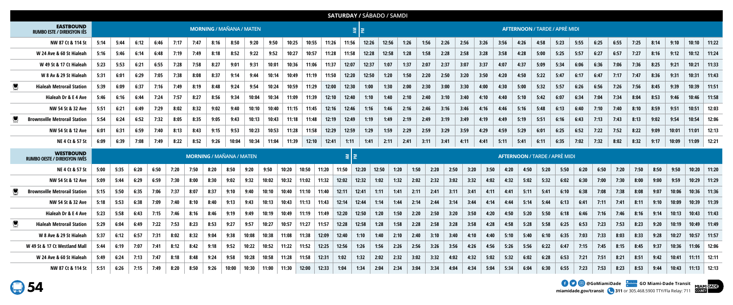**miamidade.gov/transit 311** or 305.468.5900 TTY/Fla Relay: 711

| SATURDAY / SÁBADO / SAMDI |                                                  |                                 |                                       |      |      |      |      |      |       |       |       |       |       |       |       |                        |       |      |      |      |      |      |      |      |      |                                      |      |      |      |      |      |      |       |       |       |
|---------------------------|--------------------------------------------------|---------------------------------|---------------------------------------|------|------|------|------|------|-------|-------|-------|-------|-------|-------|-------|------------------------|-------|------|------|------|------|------|------|------|------|--------------------------------------|------|------|------|------|------|------|-------|-------|-------|
|                           | <b>EASTBOUND</b><br>RUMBO ESTE / DIREKSYON IÈS   | <b>MORNING / MAÑANA / MATEN</b> |                                       |      |      |      |      |      |       |       |       |       |       |       |       | $\sum_{i=1}^{n}$<br>I٤ |       |      |      |      |      |      |      |      |      | <b>AFTERNOON / TARDE / APRÈ MIDI</b> |      |      |      |      |      |      |       |       |       |
|                           | NW 87 Ct & 114 St                                | 5:14                            | 5:44                                  | 6:12 | 6:46 | 7:17 | 7:47 | 8:16 | 8:50  | 9:20  | 9:50  | 10:25 | 10:55 | 11:26 | 11:56 | 12:26                  | 12:56 | 1:26 |      | 1:56 | 2:26 | 2:56 | 3:26 | 3:56 | 4:26 | 4:58                                 | 5:23 | 5:55 | 6:25 | 6:55 | 7:25 | 8:14 | 9:10  | 10:10 | 11:22 |
|                           | W 24 Ave & 60 St Hialeah                         | 5:16                            | 5:46                                  | 6:14 | 6:48 | 7:19 | 7:49 | 8:18 | 8:52  | 9:22  | 9:52  | 10:27 | 10:57 | 11:28 | 11:58 | 12:28                  | 12:58 | 1:28 | 1:58 |      | 2:28 | 2:58 | 3:28 | 3:58 | 4:28 | 5:00                                 | 5:25 | 5:57 | 6:27 | 6:57 | 7:27 | 8:16 | 9:12  | 10:12 | 11:24 |
|                           | W 49 St & 17 Ct Hialeah                          | 5:23                            | 5:53                                  | 6:21 | 6:55 | 7:28 | 7:58 | 8:27 | 9:01  | 9:31  | 10:01 | 10:36 | 11:06 | 11:37 | 12:07 | 12:37                  | 1:07  | 1:37 | 2:07 |      | 2:37 | 3:07 | 3:37 | 4:07 | 4:37 | 5:09                                 | 5:34 | 6:06 | 6:36 | 7:06 | 7:36 | 8:25 | 9:21  | 10:21 | 11:33 |
|                           | W 8 Av & 29 St Hialeah                           | 5:31                            | 6:01                                  | 6:29 | 7:05 | 7:38 | 8:08 | 8:37 | 9:14  | 9:44  | 10:14 | 10:49 | 11:19 | 11:50 | 12:20 | 12:50                  | 1:20  | 1:50 | 2:20 |      | 2:50 | 3:20 | 3:50 | 4:20 | 4:50 | 5:22                                 | 5:47 | 6:17 | 6:47 | 7:17 | 7:47 | 8:36 | 9:31  | 10:31 | 11:43 |
|                           | <b>Hialeah Metrorail Station</b>                 | 5:39                            | 6:09                                  | 6:37 | 7:16 | 7:49 | 8:19 | 8:48 | 9:24  | 9:54  | 10:24 | 10:59 | 11:29 | 12:00 | 12:30 | 1:00                   | 1:30  | 2:00 | 2:30 |      | 3:00 | 3:30 | 4:00 | 4:30 | 5:00 | 5:32                                 | 5:57 | 6:26 | 6:56 | 7:26 | 7:56 | 8:45 | 9:39  | 10:39 | 11:51 |
|                           | Hialeah Dr & E 4 Ave                             | 5:46                            | 6:16                                  | 6:44 | 7:24 | 7:57 | 8:27 | 8:56 | 9:34  | 10:04 | 10:34 | 11:09 | 11:39 | 12:10 | 12:40 | 1:10                   | 1:40  | 2:10 | 2:40 |      | 3:10 | 3:40 | 4:10 | 4:40 | 5:10 | 5:42                                 | 6:07 | 6:34 | 7:04 | 7:34 | 8:04 | 8:53 | 9:46  | 10:46 | 11:58 |
|                           | NW 54 St & 32 Ave                                | 5:51                            | 6:21                                  | 6:49 | 7:29 | 8:02 | 8:32 | 9:02 | 9:40  | 10:10 | 10:40 | 11:15 | 11:45 | 12:16 | 12:46 | 1:16                   | 1:46  | 2:16 | 2:46 |      | 3:16 | 3:46 | 4:16 | 4:46 | 5:16 | 5:48                                 | 6:13 | 6:40 | 7:10 | 7:40 | 8:10 | 8:59 | 9:51  | 10:51 | 12:03 |
|                           | <b>Brownsville Metrorail Station</b>             | 5:54                            | 6:24                                  | 6:52 | 7:32 | 8:05 | 8:35 | 9:05 | 9:43  | 10:13 | 10:43 | 11:18 | 11:48 | 12:19 | 12:49 | 1:19                   | 1:49  | 2:19 | 2:49 |      | 3:19 | 3:49 | 4:19 | 4:49 | 5:19 | 5:51                                 | 6:16 | 6:43 | 7:13 | 7:43 | 8:13 | 9:02 | 9:54  | 10:54 | 12:06 |
|                           | NW 54 St & 12 Ave                                | 6:01                            | 6:31                                  | 6:59 | 7:40 | 8:13 | 8:43 | 9:15 | 9:53  | 10:23 | 10:53 | 11:28 | 11:58 | 12:29 | 12:59 | 1:29                   | 1:59  | 2:29 | 2:59 |      | 3:29 | 3:59 | 4:29 | 4:59 | 5:29 | 6:01                                 | 6:25 | 6:52 | 7:22 | 7:52 | 8:22 | 9:09 | 10:01 | 11:01 | 12:13 |
|                           | <b>NE 4 Ct &amp; 57 St</b>                       | 6:09                            | 6:39                                  | 7:08 | 7:49 | 8:22 | 8:52 | 9:26 | 10:04 | 10:34 | 11:04 | 11:39 | 12:10 | 12:41 | 1:11  | 1:41                   | 2:11  | 2:41 |      | 3:11 | 3:41 | 4:11 | 4:41 | 5:11 | 5:41 | 6:11                                 | 6:35 | 7:02 | 7:32 | 8:02 | 8:32 | 9:17 | 10:09 | 11:09 | 12:21 |
|                           | <b>WESTBOUND</b><br>RUMBO OESTE / DIREKSYON IWES |                                 | <b>MORNING / MAÑANA / MATEN</b><br>회회 |      |      |      |      |      |       |       |       |       |       |       |       |                        |       |      |      |      |      |      |      |      |      | <b>AFTERNOON / TARDE / APRÈ MIDI</b> |      |      |      |      |      |      |       |       |       |
|                           | NE 4 Ct & 57 St                                  | 5:00                            | 5:35                                  | 6:20 | 6:50 | 7:20 | 7:50 | 8:20 | 8:50  | 9:20  | 9:50  | 10:20 | 10:50 | 11:20 | 11:50 | 12:20                  | 12:50 | 1:20 | 1:50 | 2:20 | 2:50 | 3:20 | 3:50 | 4:20 | 4:50 | 5:20                                 | 5:50 | 6:20 | 6:50 | 7:20 | 7:50 | 8:50 | 9:50  | 10:20 | 11:20 |
|                           | NW 54 St & 12 Ave                                | 5:09                            | 5:44                                  | 6:29 | 6:59 | 7:30 | 8:00 | 8:30 | 9:02  | 9:32  | 10:02 | 10:32 | 11:02 | 11:32 | 12:02 | 12:32                  | 1:02  | 1:32 | 2:02 | 2:32 | 3:02 | 3:32 | 4:02 | 4:32 | 5:02 | 5:32                                 | 6:02 | 6:30 | 7:00 | 7:30 | 8:00 | 9:00 | 9:59  | 10:29 | 11:29 |
|                           | <b>Brownsville Metrorail Station</b>             | 5:15                            | 5:50                                  | 6:35 | 7:06 | 7:37 | 8:07 | 8:37 | 9:10  | 9:40  | 10:10 | 10:40 | 11:10 | 11:40 | 12:11 | 12:41                  | 1:11  | 1:41 | 2:11 | 2:41 | 3:11 | 3:41 | 4:11 | 4:41 | 5:11 | 5:41                                 | 6:10 | 6:38 | 7:08 | 7:38 | 8:08 | 9:07 | 10:06 | 10:36 | 11:36 |
|                           | NW 54 St & 32 Ave                                | 5:18                            | 5:53                                  | 6:38 | 7:09 | 7:40 | 8:10 | 8:40 | 9:13  | 9:43  | 10:13 | 10:43 | 11:13 | 11:43 | 12:14 | 12:44                  | 1:14  | 1:44 | 2:14 | 2:44 | 3:14 | 3:44 | 4:14 | 4:44 | 5:14 | 5:44                                 | 6:13 | 6:41 | 7:11 | 7:41 | 8:11 | 9:10 | 10:09 | 10:39 | 11:39 |
|                           | Hialeah Dr & E 4 Ave                             | 5:23                            | 5:58                                  | 6:43 | 7:15 | 7:46 | 8:16 | 8:46 | 9:19  | 9:49  | 10:19 | 10:49 | 11:19 | 11:49 | 12:20 | 12:50                  | 1:20  | 1:50 | 2:20 | 2:50 | 3:20 | 3:50 | 4:20 | 4:50 | 5:20 | 5:50                                 | 6:18 | 6:46 | 7:16 | 7:46 | 8:16 | 9:14 | 10:13 | 10:43 | 11:43 |
| $\overline{\phantom{a}}$  | <b>Hialeah Metrorail Station</b>                 | 5:29                            | 6:04                                  | 6:49 | 7:22 | 7:53 | 8:23 | 8:53 | 9:27  | 9:57  | 10:27 | 10:57 | 11:27 | 11:57 | 12:28 | 12:58                  | 1:28  | 1:58 | 2:28 | 2:58 | 3:28 | 3:58 | 4:28 | 4:58 | 5:28 | 5:58                                 | 6:25 | 6:53 | 7:23 | 7:53 | 8:23 | 9:20 | 10:19 | 10:49 | 11:49 |
|                           | W 8 Ave & 29 St Hialeah                          | 5:37                            | 6:12                                  | 6:57 | 7:31 | 8:02 | 8:32 | 9:04 | 9:38  | 10:08 | 10:38 | 11:08 | 11:38 | 12:09 | 12:40 | 1:10                   | 1:40  | 2:10 | 2:40 | 3:10 | 3:40 | 4:10 | 4:40 | 5:10 | 5:40 | 6:10                                 | 6:35 | 7:03 | 7:33 | 8:03 | 8:33 | 9:28 | 10:27 | 10:57 | 11:57 |
|                           | W 49 St & 17 Ct Westland Mall                    | 5:44                            | 6:19                                  | 7:07 | 7:41 | 8:12 | 8:42 | 9:18 | 9:52  | 10:22 | 10:52 | 11:22 | 11:52 | 12:25 | 12:56 | 1:26                   | 1:56  | 2:26 | 2:56 | 3:26 | 3:56 | 4:26 | 4:56 | 5:26 | 5:56 | 6:22                                 | 6:47 | 7:15 | 7:45 | 8:15 | 8:45 | 9:37 | 10:36 | 11:06 | 12:06 |
|                           | W 24 Ave & 60 St Hialeah                         | 5:49                            | 6:24                                  | 7:13 | 7:47 | 8:18 | 8:48 | 9:24 | 9:58  | 10:28 | 10:58 | 11:28 | 11:58 | 12:31 | 1:02  | 1:32                   | 2:02  | 2:32 | 3:02 | 3:32 | 4:02 | 4:32 | 5:02 | 5:32 | 6:02 | 6:28                                 | 6:53 | 7:21 | 7:51 | 8:21 | 8:51 | 9:42 | 10:41 | 11:11 | 12:11 |
|                           | NW 87 Ct & 114 St                                | 5:51                            | 6:26                                  | 7:15 | 7:49 | 8:20 | 8:50 | 9:26 | 10:00 | 10:30 | 11:00 | 11:30 | 12:00 | 12:33 | 1:04  | 1:34                   | 2:04  | 2:34 | 3:04 | 3:34 | 4:04 | 4:34 | 5:04 | 5:34 | 6:04 | 6:30                                 | 6:55 | 7:23 | 7:53 | 8:23 | 8:53 | 9:44 | 10:43 | 11:13 | 12:13 |

**g** 54

**EXAMPLE OF A GOOG COMIAMIDAde COMIAMI-Dade Transit**